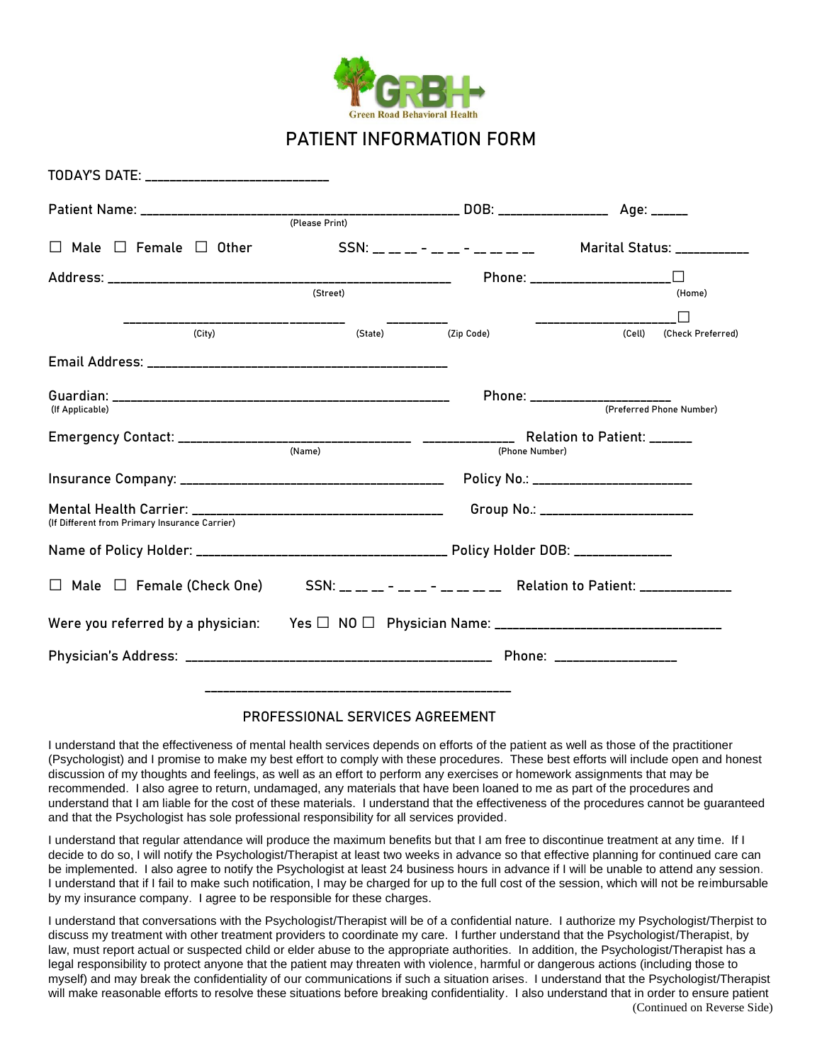

## **PATIENT INFORMATION FORM**

| TODAY'S DATE: ______________________________  |                                                                     |                                                                   |                                                            |  |  |
|-----------------------------------------------|---------------------------------------------------------------------|-------------------------------------------------------------------|------------------------------------------------------------|--|--|
|                                               | (Please Print)                                                      |                                                                   |                                                            |  |  |
|                                               |                                                                     |                                                                   |                                                            |  |  |
| $\Box$ Male $\Box$ Female $\Box$ Other        |                                                                     | SSN: __ __ __ - __ _ - __ _ __ __ __<br>Marital Status: _________ |                                                            |  |  |
|                                               | (Street)                                                            |                                                                   | Phone: ______________________<br>(Home)                    |  |  |
| (City)                                        | (State) (Zip Code)                                                  |                                                                   | (Cell)<br>(Check Preferred)                                |  |  |
|                                               |                                                                     |                                                                   |                                                            |  |  |
| (If Applicable)                               |                                                                     |                                                                   | Phone: _______________________<br>(Preferred Phone Number) |  |  |
|                                               | (Name)<br>(Phone Number)                                            |                                                                   |                                                            |  |  |
|                                               |                                                                     |                                                                   | Policy No.: _________________________                      |  |  |
| (If Different from Primary Insurance Carrier) |                                                                     |                                                                   | Group No.: ________________________                        |  |  |
|                                               |                                                                     |                                                                   |                                                            |  |  |
| $\Box$ Male $\Box$ Female (Check One)         | SSN: __ __ __ - __ _ - __ __ __ Relation to Patient: ______________ |                                                                   |                                                            |  |  |
|                                               |                                                                     |                                                                   |                                                            |  |  |
|                                               | Phone: ____________________                                         |                                                                   |                                                            |  |  |
|                                               |                                                                     |                                                                   |                                                            |  |  |

## **PROFESSIONAL SERVICES AGREEMENT**

I understand that the effectiveness of mental health services depends on efforts of the patient as well as those of the practitioner (Psychologist) and I promise to make my best effort to comply with these procedures. These best efforts will include open and honest discussion of my thoughts and feelings, as well as an effort to perform any exercises or homework assignments that may be recommended. I also agree to return, undamaged, any materials that have been loaned to me as part of the procedures and understand that I am liable for the cost of these materials. I understand that the effectiveness of the procedures cannot be guaranteed and that the Psychologist has sole professional responsibility for all services provided.

I understand that regular attendance will produce the maximum benefits but that I am free to discontinue treatment at any time. If I decide to do so, I will notify the Psychologist/Therapist at least two weeks in advance so that effective planning for continued care can be implemented. I also agree to notify the Psychologist at least 24 business hours in advance if I will be unable to attend any session. I understand that if I fail to make such notification, I may be charged for up to the full cost of the session, which will not be reimbursable by my insurance company. I agree to be responsible for these charges.

(Continued on Reverse Side) I understand that conversations with the Psychologist/Therapist will be of a confidential nature. I authorize my Psychologist/Therpist to discuss my treatment with other treatment providers to coordinate my care. I further understand that the Psychologist/Therapist, by law, must report actual or suspected child or elder abuse to the appropriate authorities. In addition, the Psychologist/Therapist has a legal responsibility to protect anyone that the patient may threaten with violence, harmful or dangerous actions (including those to myself) and may break the confidentiality of our communications if such a situation arises. I understand that the Psychologist/Therapist will make reasonable efforts to resolve these situations before breaking confidentiality. I also understand that in order to ensure patient